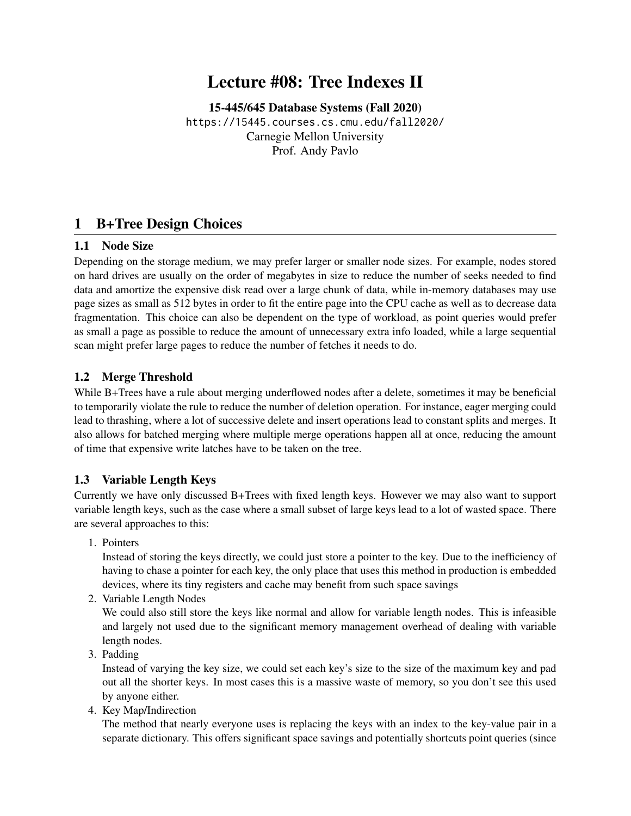# Lecture #08: Tree Indexes II

[15-445/645 Database Systems \(Fall 2020\)](https://15445.courses.cs.cmu.edu/fall2020/) <https://15445.courses.cs.cmu.edu/fall2020/> Carnegie Mellon University [Prof. Andy Pavlo](http://www.cs.cmu.edu/~pavlo/)

### 1 B+Tree Design Choices

#### 1.1 Node Size

Depending on the storage medium, we may prefer larger or smaller node sizes. For example, nodes stored on hard drives are usually on the order of megabytes in size to reduce the number of seeks needed to find data and amortize the expensive disk read over a large chunk of data, while in-memory databases may use page sizes as small as 512 bytes in order to fit the entire page into the CPU cache as well as to decrease data fragmentation. This choice can also be dependent on the type of workload, as point queries would prefer as small a page as possible to reduce the amount of unnecessary extra info loaded, while a large sequential scan might prefer large pages to reduce the number of fetches it needs to do.

#### 1.2 Merge Threshold

While B+Trees have a rule about merging underflowed nodes after a delete, sometimes it may be beneficial to temporarily violate the rule to reduce the number of deletion operation. For instance, eager merging could lead to thrashing, where a lot of successive delete and insert operations lead to constant splits and merges. It also allows for batched merging where multiple merge operations happen all at once, reducing the amount of time that expensive write latches have to be taken on the tree.

#### 1.3 Variable Length Keys

Currently we have only discussed B+Trees with fixed length keys. However we may also want to support variable length keys, such as the case where a small subset of large keys lead to a lot of wasted space. There are several approaches to this:

1. Pointers

Instead of storing the keys directly, we could just store a pointer to the key. Due to the inefficiency of having to chase a pointer for each key, the only place that uses this method in production is embedded devices, where its tiny registers and cache may benefit from such space savings

2. Variable Length Nodes

We could also still store the keys like normal and allow for variable length nodes. This is infeasible and largely not used due to the significant memory management overhead of dealing with variable length nodes.

3. Padding

Instead of varying the key size, we could set each key's size to the size of the maximum key and pad out all the shorter keys. In most cases this is a massive waste of memory, so you don't see this used by anyone either.

4. Key Map/Indirection

The method that nearly everyone uses is replacing the keys with an index to the key-value pair in a separate dictionary. This offers significant space savings and potentially shortcuts point queries (since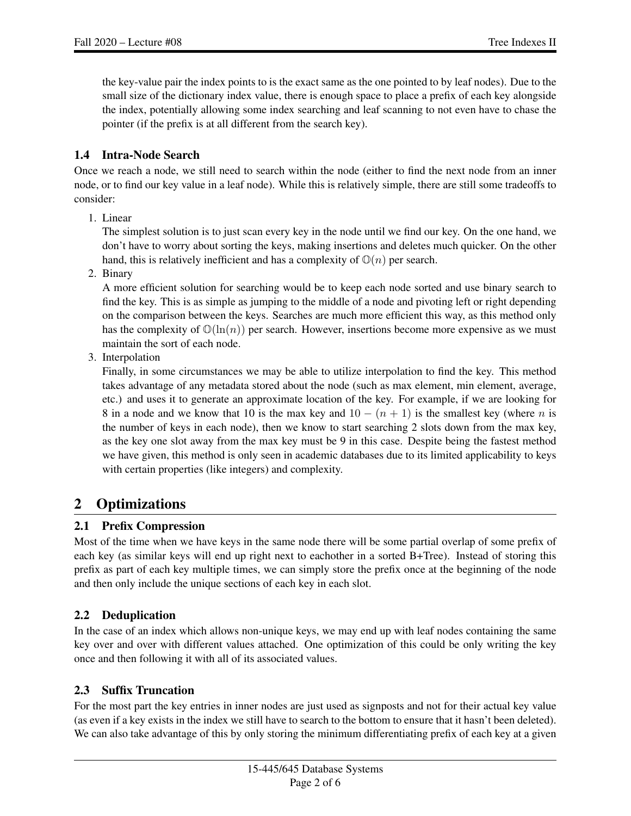the key-value pair the index points to is the exact same as the one pointed to by leaf nodes). Due to the small size of the dictionary index value, there is enough space to place a prefix of each key alongside the index, potentially allowing some index searching and leaf scanning to not even have to chase the pointer (if the prefix is at all different from the search key).

### 1.4 Intra-Node Search

Once we reach a node, we still need to search within the node (either to find the next node from an inner node, or to find our key value in a leaf node). While this is relatively simple, there are still some tradeoffs to consider:

1. Linear

The simplest solution is to just scan every key in the node until we find our key. On the one hand, we don't have to worry about sorting the keys, making insertions and deletes much quicker. On the other hand, this is relatively inefficient and has a complexity of  $\mathbb{O}(n)$  per search.

2. Binary

A more efficient solution for searching would be to keep each node sorted and use binary search to find the key. This is as simple as jumping to the middle of a node and pivoting left or right depending on the comparison between the keys. Searches are much more efficient this way, as this method only has the complexity of  $\mathbb{O}(\ln(n))$  per search. However, insertions become more expensive as we must maintain the sort of each node.

3. Interpolation

Finally, in some circumstances we may be able to utilize interpolation to find the key. This method takes advantage of any metadata stored about the node (such as max element, min element, average, etc.) and uses it to generate an approximate location of the key. For example, if we are looking for 8 in a node and we know that 10 is the max key and  $10 - (n + 1)$  is the smallest key (where n is the number of keys in each node), then we know to start searching 2 slots down from the max key, as the key one slot away from the max key must be 9 in this case. Despite being the fastest method we have given, this method is only seen in academic databases due to its limited applicability to keys with certain properties (like integers) and complexity.

# 2 Optimizations

### 2.1 Prefix Compression

Most of the time when we have keys in the same node there will be some partial overlap of some prefix of each key (as similar keys will end up right next to eachother in a sorted B+Tree). Instead of storing this prefix as part of each key multiple times, we can simply store the prefix once at the beginning of the node and then only include the unique sections of each key in each slot.

### 2.2 Deduplication

In the case of an index which allows non-unique keys, we may end up with leaf nodes containing the same key over and over with different values attached. One optimization of this could be only writing the key once and then following it with all of its associated values.

### 2.3 Suffix Truncation

For the most part the key entries in inner nodes are just used as signposts and not for their actual key value (as even if a key exists in the index we still have to search to the bottom to ensure that it hasn't been deleted). We can also take advantage of this by only storing the minimum differentiating prefix of each key at a given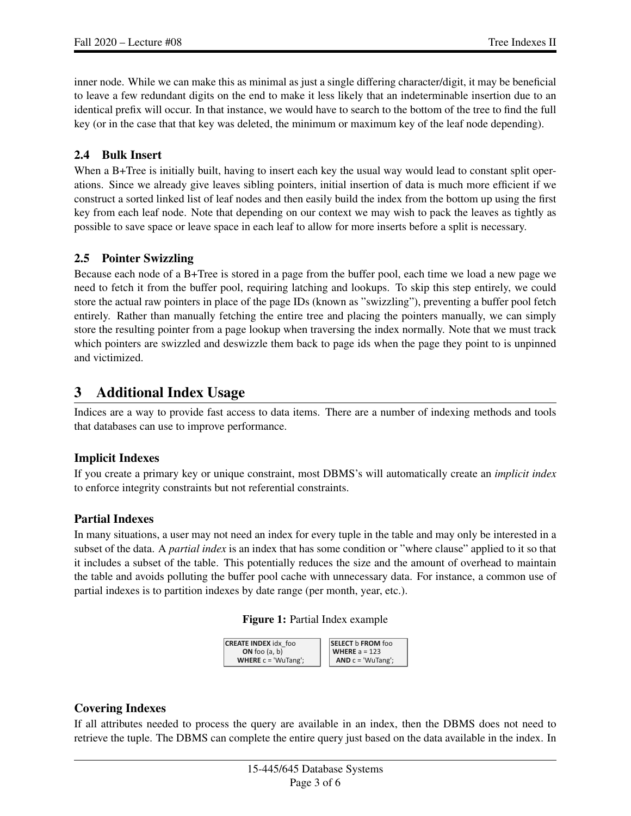inner node. While we can make this as minimal as just a single differing character/digit, it may be beneficial to leave a few redundant digits on the end to make it less likely that an indeterminable insertion due to an identical prefix will occur. In that instance, we would have to search to the bottom of the tree to find the full key (or in the case that that key was deleted, the minimum or maximum key of the leaf node depending).

#### 2.4 Bulk Insert

When a B+Tree is initially built, having to insert each key the usual way would lead to constant split operations. Since we already give leaves sibling pointers, initial insertion of data is much more efficient if we construct a sorted linked list of leaf nodes and then easily build the index from the bottom up using the first key from each leaf node. Note that depending on our context we may wish to pack the leaves as tightly as possible to save space or leave space in each leaf to allow for more inserts before a split is necessary.

#### 2.5 Pointer Swizzling

Because each node of a B+Tree is stored in a page from the buffer pool, each time we load a new page we need to fetch it from the buffer pool, requiring latching and lookups. To skip this step entirely, we could store the actual raw pointers in place of the page IDs (known as "swizzling"), preventing a buffer pool fetch entirely. Rather than manually fetching the entire tree and placing the pointers manually, we can simply store the resulting pointer from a page lookup when traversing the index normally. Note that we must track which pointers are swizzled and deswizzle them back to page ids when the page they point to is unpinned and victimized.

### 3 Additional Index Usage

Indices are a way to provide fast access to data items. There are a number of indexing methods and tools that databases can use to improve performance.

#### Implicit Indexes

If you create a primary key or unique constraint, most DBMS's will automatically create an *implicit index* to enforce integrity constraints but not referential constraints.

#### Partial Indexes

In many situations, a user may not need an index for every tuple in the table and may only be interested in a subset of the data. A *partial index* is an index that has some condition or "where clause" applied to it so that it includes a subset of the table. This potentially reduces the size and the amount of overhead to maintain the table and avoids polluting the buffer pool cache with unnecessary data. For instance, a common use of partial indexes is to partition indexes by date range (per month, year, etc.).

#### Figure 1: Partial Index example



#### Covering Indexes

If all attributes needed to process the query are available in an index, then the DBMS does not need to retrieve the tuple. The DBMS can complete the entire query just based on the data available in the index. In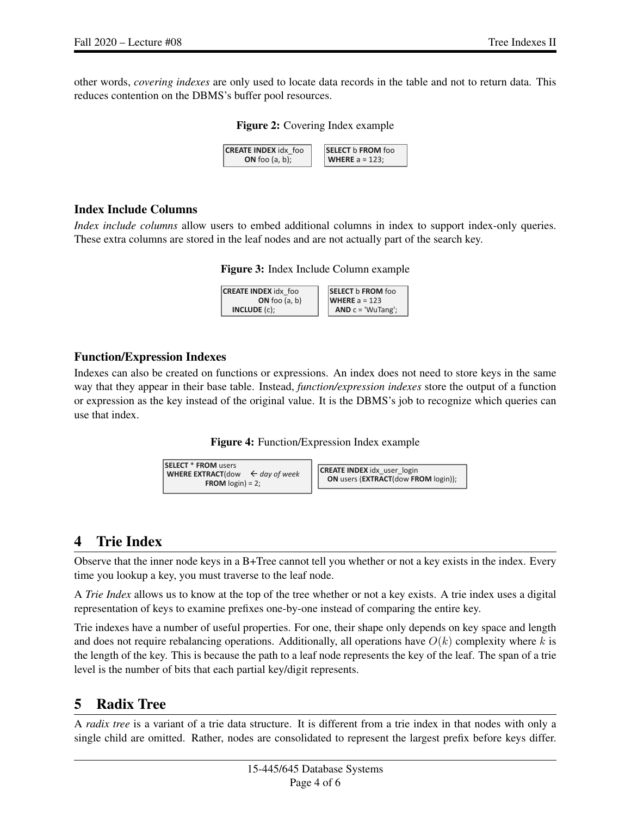other words, *covering indexes* are only used to locate data records in the table and not to return data. This reduces contention on the DBMS's buffer pool resources.

#### Figure 2: Covering Index example



#### Index Include Columns

*Index include columns* allow users to embed additional columns in index to support index-only queries. These extra columns are stored in the leaf nodes and are not actually part of the search key.

Figure 3: Index Include Column example

| <b>CREATE INDEX idx</b> foo | <b>SELECT b FROM foo</b> |
|-----------------------------|--------------------------|
| ON foo $(a, b)$             | <b>WHERE</b> $a = 123$   |
| INCLUDE(c);                 | $AND c = 'WuTang';$      |

#### Function/Expression Indexes

Indexes can also be created on functions or expressions. An index does not need to store keys in the same way that they appear in their base table. Instead, *function/expression indexes* store the output of a function or expression as the key instead of the original value. It is the DBMS's job to recognize which queries can use that index.

Figure 4: Function/Expression Index example



### 4 Trie Index

Observe that the inner node keys in a B+Tree cannot tell you whether or not a key exists in the index. Every time you lookup a key, you must traverse to the leaf node.

A *Trie Index* allows us to know at the top of the tree whether or not a key exists. A trie index uses a digital representation of keys to examine prefixes one-by-one instead of comparing the entire key.

Trie indexes have a number of useful properties. For one, their shape only depends on key space and length and does not require rebalancing operations. Additionally, all operations have  $O(k)$  complexity where k is the length of the key. This is because the path to a leaf node represents the key of the leaf. The span of a trie level is the number of bits that each partial key/digit represents.

# 5 Radix Tree

A *radix tree* is a variant of a trie data structure. It is different from a trie index in that nodes with only a single child are omitted. Rather, nodes are consolidated to represent the largest prefix before keys differ.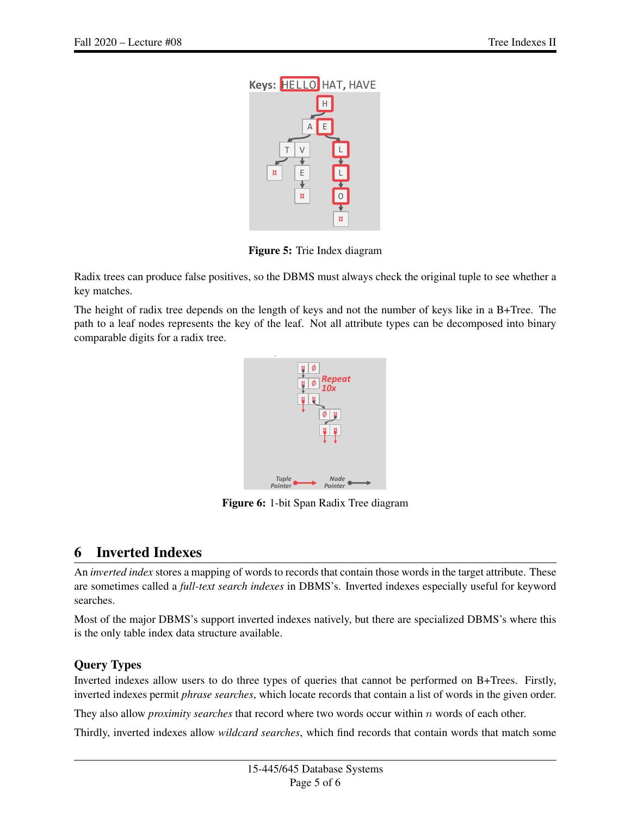

Figure 5: Trie Index diagram

Radix trees can produce false positives, so the DBMS must always check the original tuple to see whether a key matches.

The height of radix tree depends on the length of keys and not the number of keys like in a B+Tree. The path to a leaf nodes represents the key of the leaf. Not all attribute types can be decomposed into binary comparable digits for a radix tree.



Figure 6: 1-bit Span Radix Tree diagram

# 6 Inverted Indexes

An *inverted index* stores a mapping of words to records that contain those words in the target attribute. These are sometimes called a *full-text search indexes* in DBMS's. Inverted indexes especially useful for keyword searches.

Most of the major DBMS's support inverted indexes natively, but there are specialized DBMS's where this is the only table index data structure available.

#### Query Types

Inverted indexes allow users to do three types of queries that cannot be performed on B+Trees. Firstly, inverted indexes permit *phrase searches*, which locate records that contain a list of words in the given order.

They also allow *proximity searches* that record where two words occur within n words of each other.

Thirdly, inverted indexes allow *wildcard searches*, which find records that contain words that match some